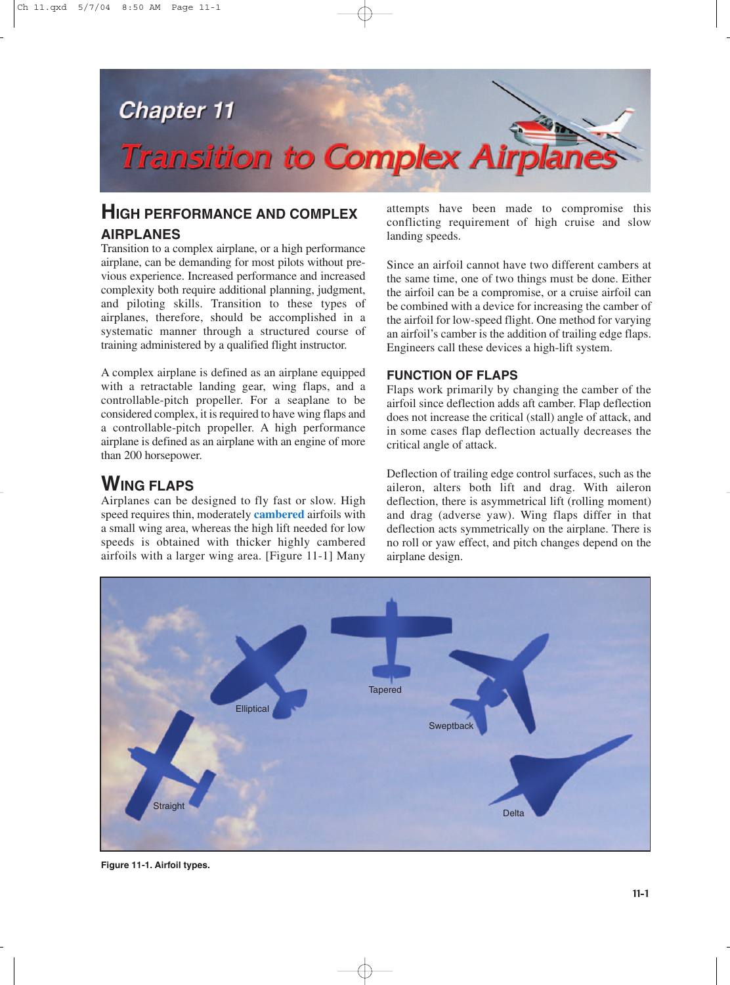

# **HIGH PERFORMANCE AND COMPLEX AIRPLANES**

Transition to a complex airplane, or a high performance airplane, can be demanding for most pilots without previous experience. Increased performance and increased complexity both require additional planning, judgment, and piloting skills. Transition to these types of airplanes, therefore, should be accomplished in a systematic manner through a structured course of training administered by a qualified flight instructor.

A complex airplane is defined as an airplane equipped with a retractable landing gear, wing flaps, and a controllable-pitch propeller. For a seaplane to be considered complex, it is required to have wing flaps and a controllable-pitch propeller. A high performance airplane is defined as an airplane with an engine of more than 200 horsepower.

# **WING FLAPS**

Airplanes can be designed to fly fast or slow. High speed requires thin, moderately **cambered** airfoils with a small wing area, whereas the high lift needed for low speeds is obtained with thicker highly cambered airfoils with a larger wing area. [Figure 11-1] Many

attempts have been made to compromise this conflicting requirement of high cruise and slow landing speeds.

Since an airfoil cannot have two different cambers at the same time, one of two things must be done. Either the airfoil can be a compromise, or a cruise airfoil can be combined with a device for increasing the camber of the airfoil for low-speed flight. One method for varying an airfoil's camber is the addition of trailing edge flaps. Engineers call these devices a high-lift system.

# **FUNCTION OF FLAPS**

Flaps work primarily by changing the camber of the airfoil since deflection adds aft camber. Flap deflection does not increase the critical (stall) angle of attack, and in some cases flap deflection actually decreases the critical angle of attack.

Deflection of trailing edge control surfaces, such as the aileron, alters both lift and drag. With aileron deflection, there is asymmetrical lift (rolling moment) and drag (adverse yaw). Wing flaps differ in that deflection acts symmetrically on the airplane. There is no roll or yaw effect, and pitch changes depend on the airplane design.



**Figure 11-1. Airfoil types.**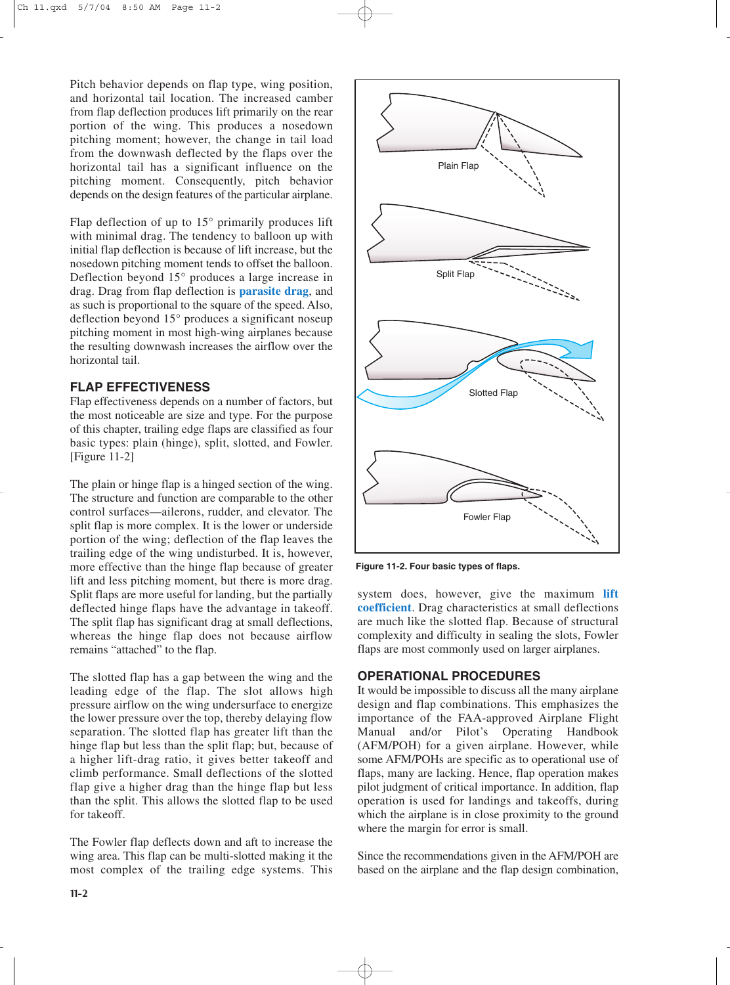Pitch behavior depends on flap type, wing position, and horizontal tail location. The increased camber from flap deflection produces lift primarily on the rear portion of the wing. This produces a nosedown pitching moment; however, the change in tail load from the downwash deflected by the flaps over the horizontal tail has a significant influence on the pitching moment. Consequently, pitch behavior depends on the design features of the particular airplane.

Flap deflection of up to  $15^{\circ}$  primarily produces lift with minimal drag. The tendency to balloon up with initial flap deflection is because of lift increase, but the nosedown pitching moment tends to offset the balloon. Deflection beyond 15° produces a large increase in drag. Drag from flap deflection is **parasite drag**, and as such is proportional to the square of the speed. Also, deflection beyond 15° produces a significant noseup pitching moment in most high-wing airplanes because the resulting downwash increases the airflow over the horizontal tail.

#### **FLAP EFFECTIVENESS**

Flap effectiveness depends on a number of factors, but the most noticeable are size and type. For the purpose of this chapter, trailing edge flaps are classified as four basic types: plain (hinge), split, slotted, and Fowler. [Figure 11-2]

The plain or hinge flap is a hinged section of the wing. The structure and function are comparable to the other control surfaces—ailerons, rudder, and elevator. The split flap is more complex. It is the lower or underside portion of the wing; deflection of the flap leaves the trailing edge of the wing undisturbed. It is, however, more effective than the hinge flap because of greater lift and less pitching moment, but there is more drag. Split flaps are more useful for landing, but the partially deflected hinge flaps have the advantage in takeoff. The split flap has significant drag at small deflections, whereas the hinge flap does not because airflow remains "attached" to the flap.

The slotted flap has a gap between the wing and the leading edge of the flap. The slot allows high pressure airflow on the wing undersurface to energize the lower pressure over the top, thereby delaying flow separation. The slotted flap has greater lift than the hinge flap but less than the split flap; but, because of a higher lift-drag ratio, it gives better takeoff and climb performance. Small deflections of the slotted flap give a higher drag than the hinge flap but less than the split. This allows the slotted flap to be used for takeoff.

The Fowler flap deflects down and aft to increase the wing area. This flap can be multi-slotted making it the most complex of the trailing edge systems. This



**Figure 11-2. Four basic types of flaps.**

system does, however, give the maximum **lift coefficient**. Drag characteristics at small deflections are much like the slotted flap. Because of structural complexity and difficulty in sealing the slots, Fowler flaps are most commonly used on larger airplanes.

#### **OPERATIONAL PROCEDURES**

It would be impossible to discuss all the many airplane design and flap combinations. This emphasizes the importance of the FAA-approved Airplane Flight Manual and/or Pilot's Operating Handbook (AFM/POH) for a given airplane. However, while some AFM/POHs are specific as to operational use of flaps, many are lacking. Hence, flap operation makes pilot judgment of critical importance. In addition, flap operation is used for landings and takeoffs, during which the airplane is in close proximity to the ground where the margin for error is small.

Since the recommendations given in the AFM/POH are based on the airplane and the flap design combination,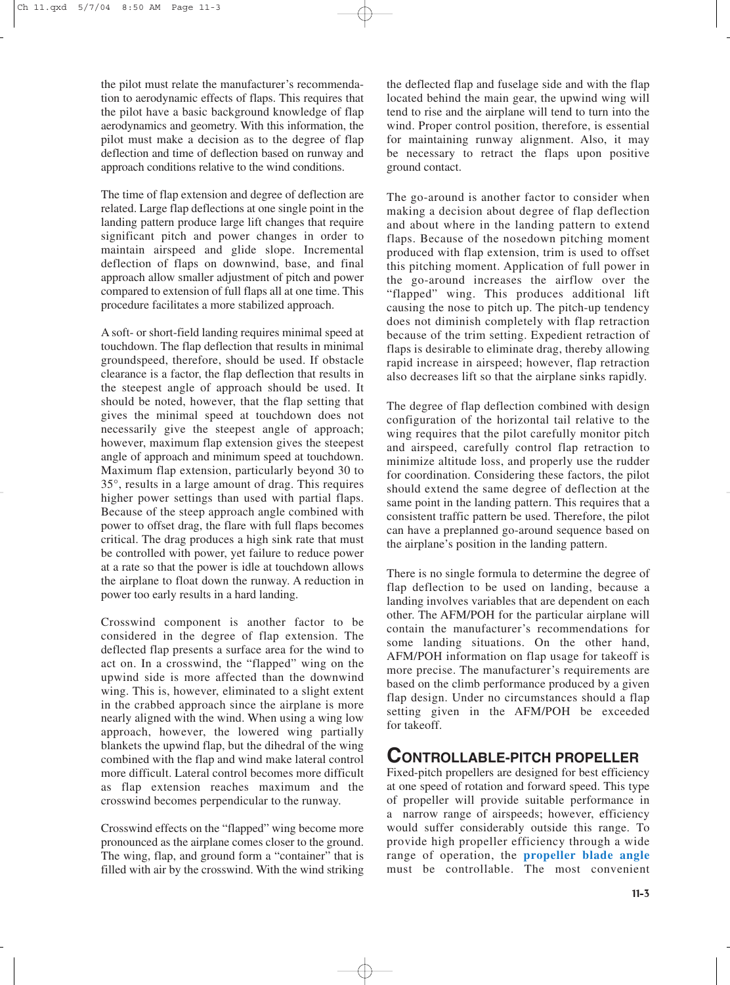the pilot must relate the manufacturer's recommendation to aerodynamic effects of flaps. This requires that the pilot have a basic background knowledge of flap aerodynamics and geometry. With this information, the pilot must make a decision as to the degree of flap deflection and time of deflection based on runway and approach conditions relative to the wind conditions.

The time of flap extension and degree of deflection are related. Large flap deflections at one single point in the landing pattern produce large lift changes that require significant pitch and power changes in order to maintain airspeed and glide slope. Incremental deflection of flaps on downwind, base, and final approach allow smaller adjustment of pitch and power compared to extension of full flaps all at one time. This procedure facilitates a more stabilized approach.

A soft- or short-field landing requires minimal speed at touchdown. The flap deflection that results in minimal groundspeed, therefore, should be used. If obstacle clearance is a factor, the flap deflection that results in the steepest angle of approach should be used. It should be noted, however, that the flap setting that gives the minimal speed at touchdown does not necessarily give the steepest angle of approach; however, maximum flap extension gives the steepest angle of approach and minimum speed at touchdown. Maximum flap extension, particularly beyond 30 to 35°, results in a large amount of drag. This requires higher power settings than used with partial flaps. Because of the steep approach angle combined with power to offset drag, the flare with full flaps becomes critical. The drag produces a high sink rate that must be controlled with power, yet failure to reduce power at a rate so that the power is idle at touchdown allows the airplane to float down the runway. A reduction in power too early results in a hard landing.

Crosswind component is another factor to be considered in the degree of flap extension. The deflected flap presents a surface area for the wind to act on. In a crosswind, the "flapped" wing on the upwind side is more affected than the downwind wing. This is, however, eliminated to a slight extent in the crabbed approach since the airplane is more nearly aligned with the wind. When using a wing low approach, however, the lowered wing partially blankets the upwind flap, but the dihedral of the wing combined with the flap and wind make lateral control more difficult. Lateral control becomes more difficult as flap extension reaches maximum and the crosswind becomes perpendicular to the runway.

Crosswind effects on the "flapped" wing become more pronounced as the airplane comes closer to the ground. The wing, flap, and ground form a "container" that is filled with air by the crosswind. With the wind striking the deflected flap and fuselage side and with the flap located behind the main gear, the upwind wing will tend to rise and the airplane will tend to turn into the wind. Proper control position, therefore, is essential for maintaining runway alignment. Also, it may be necessary to retract the flaps upon positive ground contact.

The go-around is another factor to consider when making a decision about degree of flap deflection and about where in the landing pattern to extend flaps. Because of the nosedown pitching moment produced with flap extension, trim is used to offset this pitching moment. Application of full power in the go-around increases the airflow over the "flapped" wing. This produces additional lift causing the nose to pitch up. The pitch-up tendency does not diminish completely with flap retraction because of the trim setting. Expedient retraction of flaps is desirable to eliminate drag, thereby allowing rapid increase in airspeed; however, flap retraction also decreases lift so that the airplane sinks rapidly.

The degree of flap deflection combined with design configuration of the horizontal tail relative to the wing requires that the pilot carefully monitor pitch and airspeed, carefully control flap retraction to minimize altitude loss, and properly use the rudder for coordination. Considering these factors, the pilot should extend the same degree of deflection at the same point in the landing pattern. This requires that a consistent traffic pattern be used. Therefore, the pilot can have a preplanned go-around sequence based on the airplane's position in the landing pattern.

There is no single formula to determine the degree of flap deflection to be used on landing, because a landing involves variables that are dependent on each other. The AFM/POH for the particular airplane will contain the manufacturer's recommendations for some landing situations. On the other hand, AFM/POH information on flap usage for takeoff is more precise. The manufacturer's requirements are based on the climb performance produced by a given flap design. Under no circumstances should a flap setting given in the AFM/POH be exceeded for takeoff.

# **CONTROLLABLE-PITCH PROPELLER**

Fixed-pitch propellers are designed for best efficiency at one speed of rotation and forward speed. This type of propeller will provide suitable performance in a narrow range of airspeeds; however, efficiency would suffer considerably outside this range. To provide high propeller efficiency through a wide range of operation, the **propeller blade angle** must be controllable. The most convenient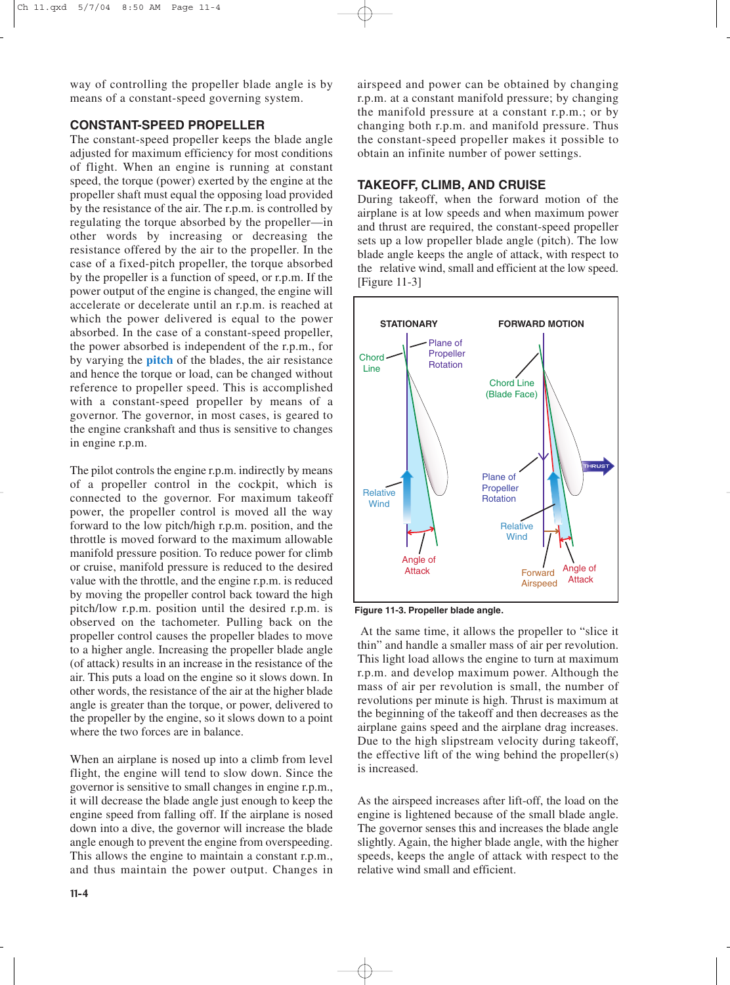way of controlling the propeller blade angle is by means of a constant-speed governing system.

### **CONSTANT-SPEED PROPELLER**

The constant-speed propeller keeps the blade angle adjusted for maximum efficiency for most conditions of flight. When an engine is running at constant speed, the torque (power) exerted by the engine at the propeller shaft must equal the opposing load provided by the resistance of the air. The r.p.m. is controlled by regulating the torque absorbed by the propeller—in other words by increasing or decreasing the resistance offered by the air to the propeller. In the case of a fixed-pitch propeller, the torque absorbed by the propeller is a function of speed, or r.p.m. If the power output of the engine is changed, the engine will accelerate or decelerate until an r.p.m. is reached at which the power delivered is equal to the power absorbed. In the case of a constant-speed propeller, the power absorbed is independent of the r.p.m., for by varying the **pitch** of the blades, the air resistance and hence the torque or load, can be changed without reference to propeller speed. This is accomplished with a constant-speed propeller by means of a governor. The governor, in most cases, is geared to the engine crankshaft and thus is sensitive to changes in engine r.p.m.

The pilot controls the engine r.p.m. indirectly by means of a propeller control in the cockpit, which is connected to the governor. For maximum takeoff power, the propeller control is moved all the way forward to the low pitch/high r.p.m. position, and the throttle is moved forward to the maximum allowable manifold pressure position. To reduce power for climb or cruise, manifold pressure is reduced to the desired value with the throttle, and the engine r.p.m. is reduced by moving the propeller control back toward the high pitch/low r.p.m. position until the desired r.p.m. is observed on the tachometer. Pulling back on the propeller control causes the propeller blades to move to a higher angle. Increasing the propeller blade angle (of attack) results in an increase in the resistance of the air. This puts a load on the engine so it slows down. In other words, the resistance of the air at the higher blade angle is greater than the torque, or power, delivered to the propeller by the engine, so it slows down to a point where the two forces are in balance.

When an airplane is nosed up into a climb from level flight, the engine will tend to slow down. Since the governor is sensitive to small changes in engine r.p.m., it will decrease the blade angle just enough to keep the engine speed from falling off. If the airplane is nosed down into a dive, the governor will increase the blade angle enough to prevent the engine from overspeeding. This allows the engine to maintain a constant r.p.m., and thus maintain the power output. Changes in

airspeed and power can be obtained by changing r.p.m. at a constant manifold pressure; by changing the manifold pressure at a constant r.p.m.; or by changing both r.p.m. and manifold pressure. Thus the constant-speed propeller makes it possible to obtain an infinite number of power settings.

# **TAKEOFF, CLIMB, AND CRUISE**

During takeoff, when the forward motion of the airplane is at low speeds and when maximum power and thrust are required, the constant-speed propeller sets up a low propeller blade angle (pitch). The low blade angle keeps the angle of attack, with respect to the relative wind, small and efficient at the low speed. [Figure 11-3]



**Figure 11-3. Propeller blade angle.**

At the same time, it allows the propeller to "slice it thin" and handle a smaller mass of air per revolution. This light load allows the engine to turn at maximum r.p.m. and develop maximum power. Although the mass of air per revolution is small, the number of revolutions per minute is high. Thrust is maximum at the beginning of the takeoff and then decreases as the airplane gains speed and the airplane drag increases. Due to the high slipstream velocity during takeoff, the effective lift of the wing behind the propeller(s) is increased.

As the airspeed increases after lift-off, the load on the engine is lightened because of the small blade angle. The governor senses this and increases the blade angle slightly. Again, the higher blade angle, with the higher speeds, keeps the angle of attack with respect to the relative wind small and efficient.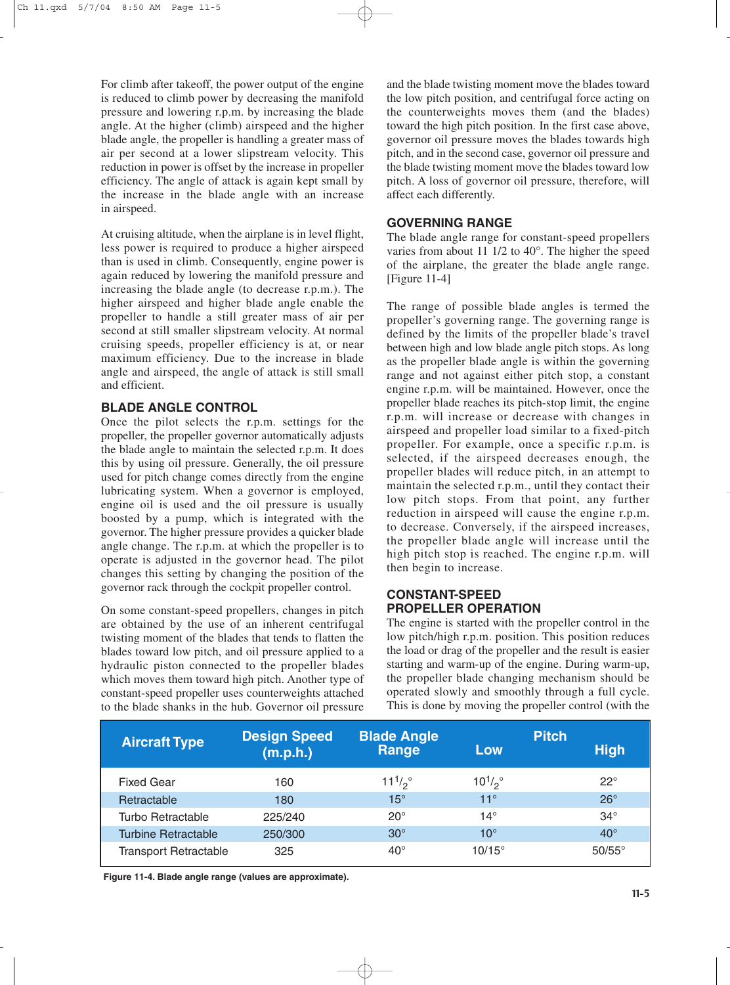For climb after takeoff, the power output of the engine is reduced to climb power by decreasing the manifold pressure and lowering r.p.m. by increasing the blade angle. At the higher (climb) airspeed and the higher blade angle, the propeller is handling a greater mass of air per second at a lower slipstream velocity. This reduction in power is offset by the increase in propeller efficiency. The angle of attack is again kept small by the increase in the blade angle with an increase in airspeed.

At cruising altitude, when the airplane is in level flight, less power is required to produce a higher airspeed than is used in climb. Consequently, engine power is again reduced by lowering the manifold pressure and increasing the blade angle (to decrease r.p.m.). The higher airspeed and higher blade angle enable the propeller to handle a still greater mass of air per second at still smaller slipstream velocity. At normal cruising speeds, propeller efficiency is at, or near maximum efficiency. Due to the increase in blade angle and airspeed, the angle of attack is still small and efficient.

#### **BLADE ANGLE CONTROL**

Once the pilot selects the r.p.m. settings for the propeller, the propeller governor automatically adjusts the blade angle to maintain the selected r.p.m. It does this by using oil pressure. Generally, the oil pressure used for pitch change comes directly from the engine lubricating system. When a governor is employed, engine oil is used and the oil pressure is usually boosted by a pump, which is integrated with the governor. The higher pressure provides a quicker blade angle change. The r.p.m. at which the propeller is to operate is adjusted in the governor head. The pilot changes this setting by changing the position of the governor rack through the cockpit propeller control.

On some constant-speed propellers, changes in pitch are obtained by the use of an inherent centrifugal twisting moment of the blades that tends to flatten the blades toward low pitch, and oil pressure applied to a hydraulic piston connected to the propeller blades which moves them toward high pitch. Another type of constant-speed propeller uses counterweights attached to the blade shanks in the hub. Governor oil pressure and the blade twisting moment move the blades toward the low pitch position, and centrifugal force acting on the counterweights moves them (and the blades) toward the high pitch position. In the first case above, governor oil pressure moves the blades towards high pitch, and in the second case, governor oil pressure and the blade twisting moment move the blades toward low pitch. A loss of governor oil pressure, therefore, will affect each differently.

#### **GOVERNING RANGE**

The blade angle range for constant-speed propellers varies from about 11 1/2 to 40°. The higher the speed of the airplane, the greater the blade angle range. [Figure 11-4]

The range of possible blade angles is termed the propeller's governing range. The governing range is defined by the limits of the propeller blade's travel between high and low blade angle pitch stops. As long as the propeller blade angle is within the governing range and not against either pitch stop, a constant engine r.p.m. will be maintained. However, once the propeller blade reaches its pitch-stop limit, the engine r.p.m. will increase or decrease with changes in airspeed and propeller load similar to a fixed-pitch propeller. For example, once a specific r.p.m. is selected, if the airspeed decreases enough, the propeller blades will reduce pitch, in an attempt to maintain the selected r.p.m., until they contact their low pitch stops. From that point, any further reduction in airspeed will cause the engine r.p.m. to decrease. Conversely, if the airspeed increases, the propeller blade angle will increase until the high pitch stop is reached. The engine r.p.m. will then begin to increase.

#### **CONSTANT-SPEED PROPELLER OPERATION**

The engine is started with the propeller control in the low pitch/high r.p.m. position. This position reduces the load or drag of the propeller and the result is easier starting and warm-up of the engine. During warm-up, the propeller blade changing mechanism should be operated slowly and smoothly through a full cycle. This is done by moving the propeller control (with the

| <b>Aircraft Type</b>         | <b>Design Speed</b><br>(m.p.h.) | <b>Blade Angle</b><br>Range | Low           | <b>Pitch</b><br><b>High</b> |
|------------------------------|---------------------------------|-----------------------------|---------------|-----------------------------|
| <b>Fixed Gear</b>            | 160                             | $11^{1/2}$                  | $10^{1/2}$    | $22^{\circ}$                |
| Retractable                  | 180                             | $15^\circ$                  | $11^{\circ}$  | $26^\circ$                  |
| Turbo Retractable            | 225/240                         | $20^{\circ}$                | $14^{\circ}$  | $34^\circ$                  |
| Turbine Retractable          | 250/300                         | $30^\circ$                  | $10^{\circ}$  | $40^\circ$                  |
| <b>Transport Retractable</b> | 325                             | $40^\circ$                  | $10/15^\circ$ | $50/55^\circ$               |

**Figure 11-4. Blade angle range (values are approximate).**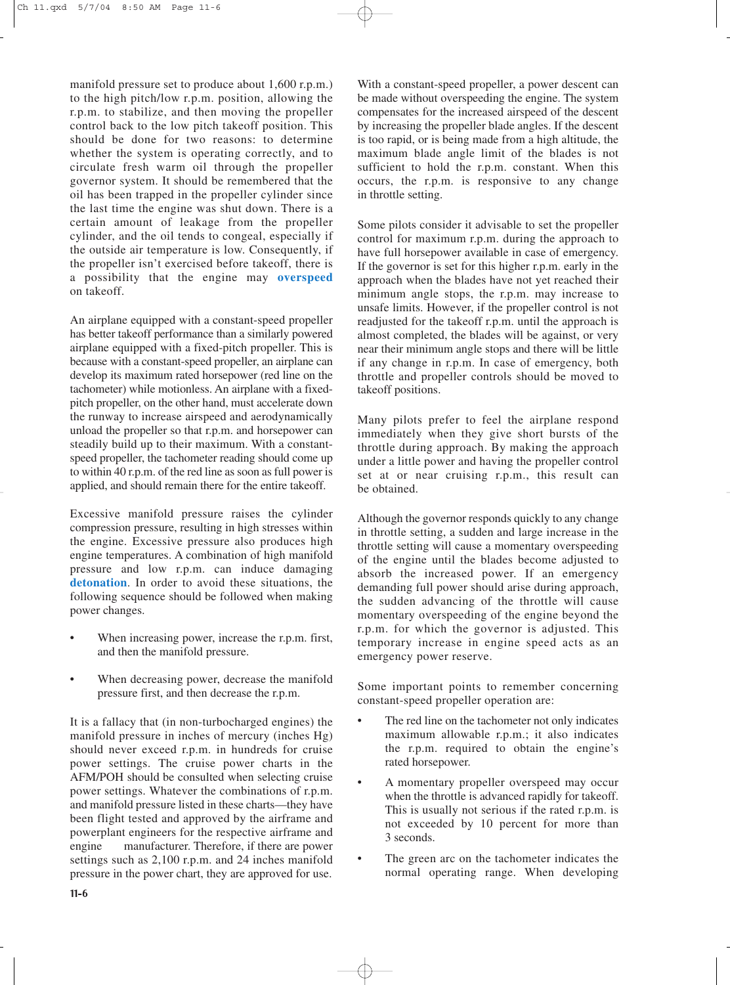manifold pressure set to produce about 1,600 r.p.m.) to the high pitch/low r.p.m. position, allowing the r.p.m. to stabilize, and then moving the propeller control back to the low pitch takeoff position. This should be done for two reasons: to determine whether the system is operating correctly, and to circulate fresh warm oil through the propeller governor system. It should be remembered that the oil has been trapped in the propeller cylinder since the last time the engine was shut down. There is a certain amount of leakage from the propeller cylinder, and the oil tends to congeal, especially if the outside air temperature is low. Consequently, if the propeller isn't exercised before takeoff, there is a possibility that the engine may **overspeed** on takeoff.

An airplane equipped with a constant-speed propeller has better takeoff performance than a similarly powered airplane equipped with a fixed-pitch propeller. This is because with a constant-speed propeller, an airplane can develop its maximum rated horsepower (red line on the tachometer) while motionless. An airplane with a fixedpitch propeller, on the other hand, must accelerate down the runway to increase airspeed and aerodynamically unload the propeller so that r.p.m. and horsepower can steadily build up to their maximum. With a constantspeed propeller, the tachometer reading should come up to within 40 r.p.m. of the red line as soon as full power is applied, and should remain there for the entire takeoff.

Excessive manifold pressure raises the cylinder compression pressure, resulting in high stresses within the engine. Excessive pressure also produces high engine temperatures. A combination of high manifold pressure and low r.p.m. can induce damaging **detonation**. In order to avoid these situations, the following sequence should be followed when making power changes.

- When increasing power, increase the r.p.m. first, and then the manifold pressure.
- When decreasing power, decrease the manifold pressure first, and then decrease the r.p.m.

It is a fallacy that (in non-turbocharged engines) the manifold pressure in inches of mercury (inches Hg) should never exceed r.p.m. in hundreds for cruise power settings. The cruise power charts in the AFM/POH should be consulted when selecting cruise power settings. Whatever the combinations of r.p.m. and manifold pressure listed in these charts—they have been flight tested and approved by the airframe and powerplant engineers for the respective airframe and engine manufacturer. Therefore, if there are power settings such as 2,100 r.p.m. and 24 inches manifold pressure in the power chart, they are approved for use.

With a constant-speed propeller, a power descent can be made without overspeeding the engine. The system compensates for the increased airspeed of the descent by increasing the propeller blade angles. If the descent is too rapid, or is being made from a high altitude, the maximum blade angle limit of the blades is not sufficient to hold the r.p.m. constant. When this occurs, the r.p.m. is responsive to any change in throttle setting.

Some pilots consider it advisable to set the propeller control for maximum r.p.m. during the approach to have full horsepower available in case of emergency. If the governor is set for this higher r.p.m. early in the approach when the blades have not yet reached their minimum angle stops, the r.p.m. may increase to unsafe limits. However, if the propeller control is not readjusted for the takeoff r.p.m. until the approach is almost completed, the blades will be against, or very near their minimum angle stops and there will be little if any change in r.p.m. In case of emergency, both throttle and propeller controls should be moved to takeoff positions.

Many pilots prefer to feel the airplane respond immediately when they give short bursts of the throttle during approach. By making the approach under a little power and having the propeller control set at or near cruising r.p.m., this result can be obtained.

Although the governor responds quickly to any change in throttle setting, a sudden and large increase in the throttle setting will cause a momentary overspeeding of the engine until the blades become adjusted to absorb the increased power. If an emergency demanding full power should arise during approach, the sudden advancing of the throttle will cause momentary overspeeding of the engine beyond the r.p.m. for which the governor is adjusted. This temporary increase in engine speed acts as an emergency power reserve.

Some important points to remember concerning constant-speed propeller operation are:

- The red line on the tachometer not only indicates maximum allowable r.p.m.; it also indicates the r.p.m. required to obtain the engine's rated horsepower.
- A momentary propeller overspeed may occur when the throttle is advanced rapidly for takeoff. This is usually not serious if the rated r.p.m. is not exceeded by 10 percent for more than 3 seconds.
- The green arc on the tachometer indicates the normal operating range. When developing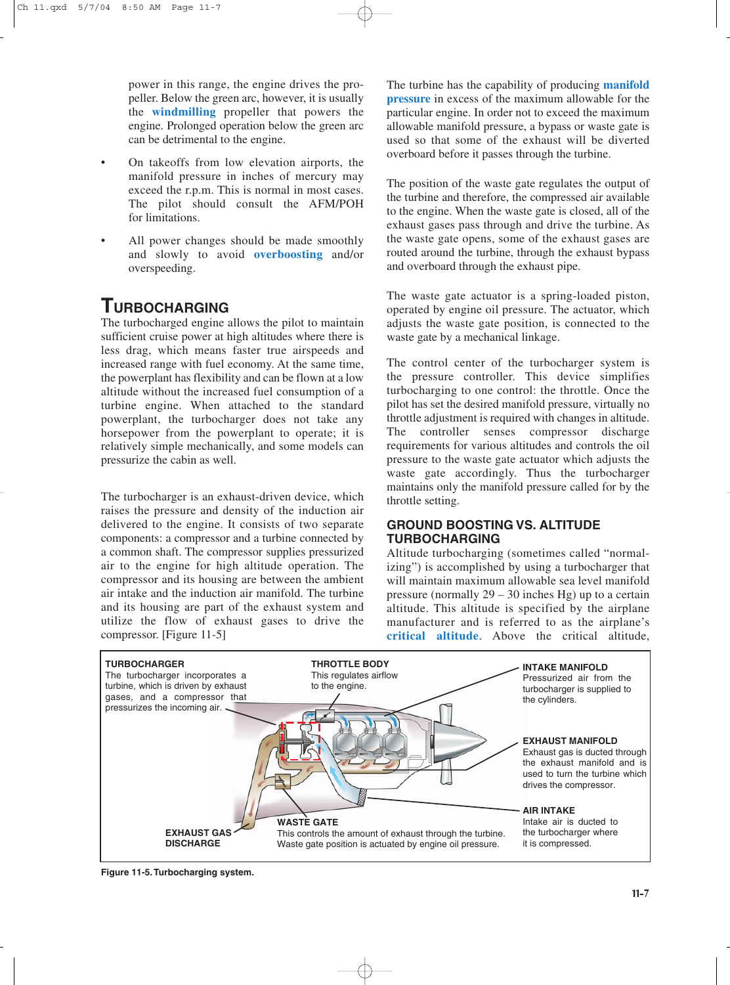power in this range, the engine drives the propeller. Below the green arc, however, it is usually the **windmilling** propeller that powers the engine. Prolonged operation below the green arc can be detrimental to the engine.

- On takeoffs from low elevation airports, the manifold pressure in inches of mercury may exceed the r.p.m. This is normal in most cases. The pilot should consult the AFM/POH for limitations.
- All power changes should be made smoothly and slowly to avoid **overboosting** and/or overspeeding.

# **TURBOCHARGING**

The turbocharged engine allows the pilot to maintain sufficient cruise power at high altitudes where there is less drag, which means faster true airspeeds and increased range with fuel economy. At the same time, the powerplant has flexibility and can be flown at a low altitude without the increased fuel consumption of a turbine engine. When attached to the standard powerplant, the turbocharger does not take any horsepower from the powerplant to operate; it is relatively simple mechanically, and some models can pressurize the cabin as well.

The turbocharger is an exhaust-driven device, which raises the pressure and density of the induction air delivered to the engine. It consists of two separate components: a compressor and a turbine connected by a common shaft. The compressor supplies pressurized air to the engine for high altitude operation. The compressor and its housing are between the ambient air intake and the induction air manifold. The turbine and its housing are part of the exhaust system and utilize the flow of exhaust gases to drive the compressor. [Figure 11-5]

The turbine has the capability of producing **manifold pressure** in excess of the maximum allowable for the particular engine. In order not to exceed the maximum allowable manifold pressure, a bypass or waste gate is used so that some of the exhaust will be diverted overboard before it passes through the turbine.

The position of the waste gate regulates the output of the turbine and therefore, the compressed air available to the engine. When the waste gate is closed, all of the exhaust gases pass through and drive the turbine. As the waste gate opens, some of the exhaust gases are routed around the turbine, through the exhaust bypass and overboard through the exhaust pipe.

The waste gate actuator is a spring-loaded piston, operated by engine oil pressure. The actuator, which adjusts the waste gate position, is connected to the waste gate by a mechanical linkage.

The control center of the turbocharger system is the pressure controller. This device simplifies turbocharging to one control: the throttle. Once the pilot has set the desired manifold pressure, virtually no throttle adjustment is required with changes in altitude. The controller senses compressor discharge requirements for various altitudes and controls the oil pressure to the waste gate actuator which adjusts the waste gate accordingly. Thus the turbocharger maintains only the manifold pressure called for by the throttle setting.

# **GROUND BOOSTING VS. ALTITUDE TURBOCHARGING**

Altitude turbocharging (sometimes called "normalizing") is accomplished by using a turbocharger that will maintain maximum allowable sea level manifold pressure (normally 29 – 30 inches Hg) up to a certain altitude. This altitude is specified by the airplane manufacturer and is referred to as the airplane's **critical altitude**. Above the critical altitude,



**Figure 11-5.Turbocharging system.**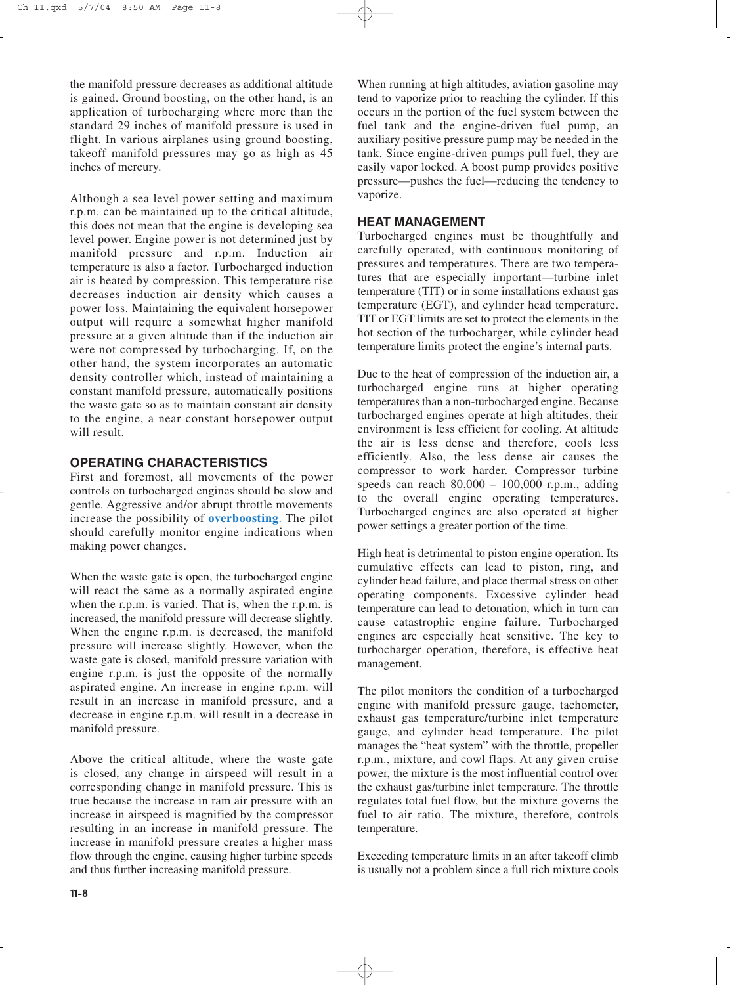the manifold pressure decreases as additional altitude is gained. Ground boosting, on the other hand, is an application of turbocharging where more than the standard 29 inches of manifold pressure is used in flight. In various airplanes using ground boosting, takeoff manifold pressures may go as high as 45 inches of mercury.

Although a sea level power setting and maximum r.p.m. can be maintained up to the critical altitude, this does not mean that the engine is developing sea level power. Engine power is not determined just by manifold pressure and r.p.m. Induction air temperature is also a factor. Turbocharged induction air is heated by compression. This temperature rise decreases induction air density which causes a power loss. Maintaining the equivalent horsepower output will require a somewhat higher manifold pressure at a given altitude than if the induction air were not compressed by turbocharging. If, on the other hand, the system incorporates an automatic density controller which, instead of maintaining a constant manifold pressure, automatically positions the waste gate so as to maintain constant air density to the engine, a near constant horsepower output will result.

### **OPERATING CHARACTERISTICS**

First and foremost, all movements of the power controls on turbocharged engines should be slow and gentle. Aggressive and/or abrupt throttle movements increase the possibility of **overboosting**. The pilot should carefully monitor engine indications when making power changes.

When the waste gate is open, the turbocharged engine will react the same as a normally aspirated engine when the r.p.m. is varied. That is, when the r.p.m. is increased, the manifold pressure will decrease slightly. When the engine r.p.m. is decreased, the manifold pressure will increase slightly. However, when the waste gate is closed, manifold pressure variation with engine r.p.m. is just the opposite of the normally aspirated engine. An increase in engine r.p.m. will result in an increase in manifold pressure, and a decrease in engine r.p.m. will result in a decrease in manifold pressure.

Above the critical altitude, where the waste gate is closed, any change in airspeed will result in a corresponding change in manifold pressure. This is true because the increase in ram air pressure with an increase in airspeed is magnified by the compressor resulting in an increase in manifold pressure. The increase in manifold pressure creates a higher mass flow through the engine, causing higher turbine speeds and thus further increasing manifold pressure.

When running at high altitudes, aviation gasoline may tend to vaporize prior to reaching the cylinder. If this occurs in the portion of the fuel system between the fuel tank and the engine-driven fuel pump, an auxiliary positive pressure pump may be needed in the tank. Since engine-driven pumps pull fuel, they are easily vapor locked. A boost pump provides positive pressure—pushes the fuel—reducing the tendency to vaporize.

#### **HEAT MANAGEMENT**

Turbocharged engines must be thoughtfully and carefully operated, with continuous monitoring of pressures and temperatures. There are two temperatures that are especially important—turbine inlet temperature (TIT) or in some installations exhaust gas temperature (EGT), and cylinder head temperature. TIT or EGT limits are set to protect the elements in the hot section of the turbocharger, while cylinder head temperature limits protect the engine's internal parts.

Due to the heat of compression of the induction air, a turbocharged engine runs at higher operating temperatures than a non-turbocharged engine. Because turbocharged engines operate at high altitudes, their environment is less efficient for cooling. At altitude the air is less dense and therefore, cools less efficiently. Also, the less dense air causes the compressor to work harder. Compressor turbine speeds can reach 80,000 – 100,000 r.p.m., adding to the overall engine operating temperatures. Turbocharged engines are also operated at higher power settings a greater portion of the time.

High heat is detrimental to piston engine operation. Its cumulative effects can lead to piston, ring, and cylinder head failure, and place thermal stress on other operating components. Excessive cylinder head temperature can lead to detonation, which in turn can cause catastrophic engine failure. Turbocharged engines are especially heat sensitive. The key to turbocharger operation, therefore, is effective heat management.

The pilot monitors the condition of a turbocharged engine with manifold pressure gauge, tachometer, exhaust gas temperature/turbine inlet temperature gauge, and cylinder head temperature. The pilot manages the "heat system" with the throttle, propeller r.p.m., mixture, and cowl flaps. At any given cruise power, the mixture is the most influential control over the exhaust gas/turbine inlet temperature. The throttle regulates total fuel flow, but the mixture governs the fuel to air ratio. The mixture, therefore, controls temperature.

Exceeding temperature limits in an after takeoff climb is usually not a problem since a full rich mixture cools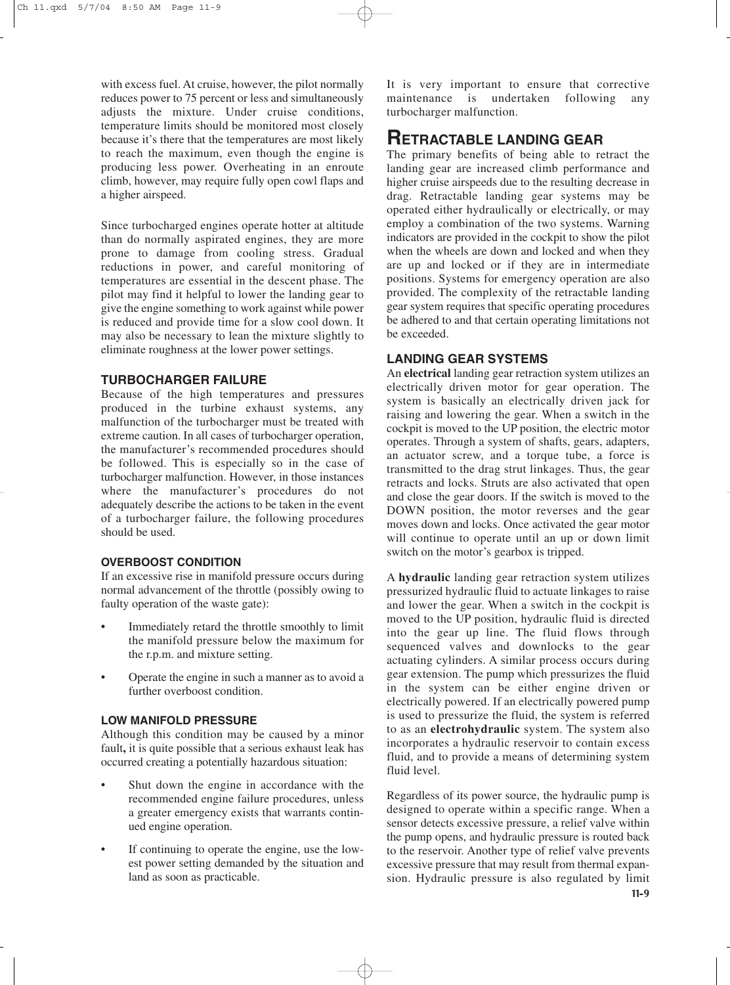with excess fuel. At cruise, however, the pilot normally reduces power to 75 percent or less and simultaneously adjusts the mixture. Under cruise conditions, temperature limits should be monitored most closely because it's there that the temperatures are most likely to reach the maximum, even though the engine is producing less power. Overheating in an enroute climb, however, may require fully open cowl flaps and a higher airspeed.

Since turbocharged engines operate hotter at altitude than do normally aspirated engines, they are more prone to damage from cooling stress. Gradual reductions in power, and careful monitoring of temperatures are essential in the descent phase. The pilot may find it helpful to lower the landing gear to give the engine something to work against while power is reduced and provide time for a slow cool down. It may also be necessary to lean the mixture slightly to eliminate roughness at the lower power settings.

#### **TURBOCHARGER FAILURE**

Because of the high temperatures and pressures produced in the turbine exhaust systems, any malfunction of the turbocharger must be treated with extreme caution. In all cases of turbocharger operation, the manufacturer's recommended procedures should be followed. This is especially so in the case of turbocharger malfunction. However, in those instances where the manufacturer's procedures do not adequately describe the actions to be taken in the event of a turbocharger failure, the following procedures should be used.

#### **OVERBOOST CONDITION**

If an excessive rise in manifold pressure occurs during normal advancement of the throttle (possibly owing to faulty operation of the waste gate):

- Immediately retard the throttle smoothly to limit the manifold pressure below the maximum for the r.p.m. and mixture setting.
- Operate the engine in such a manner as to avoid a further overboost condition.

#### **LOW MANIFOLD PRESSURE**

Although this condition may be caused by a minor fault**,** it is quite possible that a serious exhaust leak has occurred creating a potentially hazardous situation:

- Shut down the engine in accordance with the recommended engine failure procedures, unless a greater emergency exists that warrants continued engine operation.
- If continuing to operate the engine, use the lowest power setting demanded by the situation and land as soon as practicable.

It is very important to ensure that corrective maintenance is undertaken following any turbocharger malfunction.

# **RETRACTABLE LANDING GEAR**

The primary benefits of being able to retract the landing gear are increased climb performance and higher cruise airspeeds due to the resulting decrease in drag. Retractable landing gear systems may be operated either hydraulically or electrically, or may employ a combination of the two systems. Warning indicators are provided in the cockpit to show the pilot when the wheels are down and locked and when they are up and locked or if they are in intermediate positions. Systems for emergency operation are also provided. The complexity of the retractable landing gear system requires that specific operating procedures be adhered to and that certain operating limitations not be exceeded.

## **LANDING GEAR SYSTEMS**

An **electrical** landing gear retraction system utilizes an electrically driven motor for gear operation. The system is basically an electrically driven jack for raising and lowering the gear. When a switch in the cockpit is moved to the UP position, the electric motor operates. Through a system of shafts, gears, adapters, an actuator screw, and a torque tube, a force is transmitted to the drag strut linkages. Thus, the gear retracts and locks. Struts are also activated that open and close the gear doors. If the switch is moved to the DOWN position, the motor reverses and the gear moves down and locks. Once activated the gear motor will continue to operate until an up or down limit switch on the motor's gearbox is tripped.

A **hydraulic** landing gear retraction system utilizes pressurized hydraulic fluid to actuate linkages to raise and lower the gear. When a switch in the cockpit is moved to the UP position, hydraulic fluid is directed into the gear up line. The fluid flows through sequenced valves and downlocks to the gear actuating cylinders. A similar process occurs during gear extension. The pump which pressurizes the fluid in the system can be either engine driven or electrically powered. If an electrically powered pump is used to pressurize the fluid, the system is referred to as an **electrohydraulic** system. The system also incorporates a hydraulic reservoir to contain excess fluid, and to provide a means of determining system fluid level.

Regardless of its power source, the hydraulic pump is designed to operate within a specific range. When a sensor detects excessive pressure, a relief valve within the pump opens, and hydraulic pressure is routed back to the reservoir. Another type of relief valve prevents excessive pressure that may result from thermal expansion. Hydraulic pressure is also regulated by limit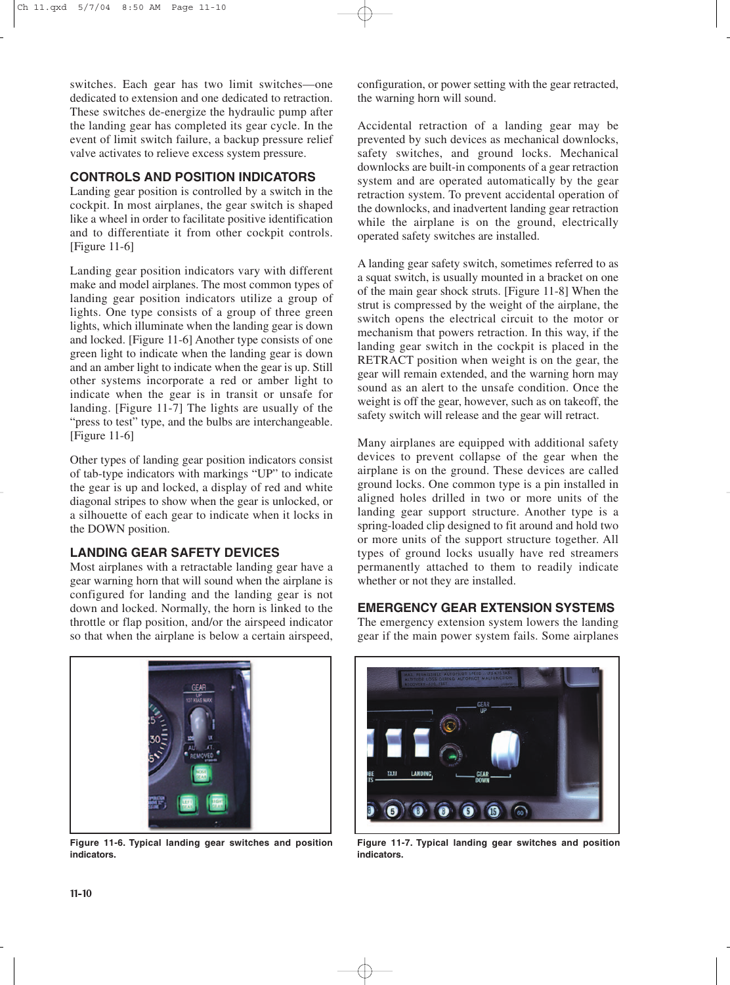switches. Each gear has two limit switches—one dedicated to extension and one dedicated to retraction. These switches de-energize the hydraulic pump after the landing gear has completed its gear cycle. In the event of limit switch failure, a backup pressure relief valve activates to relieve excess system pressure.

#### **CONTROLS AND POSITION INDICATORS**

Landing gear position is controlled by a switch in the cockpit. In most airplanes, the gear switch is shaped like a wheel in order to facilitate positive identification and to differentiate it from other cockpit controls. [Figure 11-6]

Landing gear position indicators vary with different make and model airplanes. The most common types of landing gear position indicators utilize a group of lights. One type consists of a group of three green lights, which illuminate when the landing gear is down and locked. [Figure 11-6] Another type consists of one green light to indicate when the landing gear is down and an amber light to indicate when the gear is up. Still other systems incorporate a red or amber light to indicate when the gear is in transit or unsafe for landing. [Figure 11-7] The lights are usually of the "press to test" type, and the bulbs are interchangeable. [Figure 11-6]

Other types of landing gear position indicators consist of tab-type indicators with markings "UP" to indicate the gear is up and locked, a display of red and white diagonal stripes to show when the gear is unlocked, or a silhouette of each gear to indicate when it locks in the DOWN position.

## **LANDING GEAR SAFETY DEVICES**

Most airplanes with a retractable landing gear have a gear warning horn that will sound when the airplane is configured for landing and the landing gear is not down and locked. Normally, the horn is linked to the throttle or flap position, and/or the airspeed indicator so that when the airplane is below a certain airspeed, configuration, or power setting with the gear retracted, the warning horn will sound.

Accidental retraction of a landing gear may be prevented by such devices as mechanical downlocks, safety switches, and ground locks. Mechanical downlocks are built-in components of a gear retraction system and are operated automatically by the gear retraction system. To prevent accidental operation of the downlocks, and inadvertent landing gear retraction while the airplane is on the ground, electrically operated safety switches are installed.

A landing gear safety switch, sometimes referred to as a squat switch, is usually mounted in a bracket on one of the main gear shock struts. [Figure 11-8] When the strut is compressed by the weight of the airplane, the switch opens the electrical circuit to the motor or mechanism that powers retraction. In this way, if the landing gear switch in the cockpit is placed in the RETRACT position when weight is on the gear, the gear will remain extended, and the warning horn may sound as an alert to the unsafe condition. Once the weight is off the gear, however, such as on takeoff, the safety switch will release and the gear will retract.

Many airplanes are equipped with additional safety devices to prevent collapse of the gear when the airplane is on the ground. These devices are called ground locks. One common type is a pin installed in aligned holes drilled in two or more units of the landing gear support structure. Another type is a spring-loaded clip designed to fit around and hold two or more units of the support structure together. All types of ground locks usually have red streamers permanently attached to them to readily indicate whether or not they are installed.

# **EMERGENCY GEAR EXTENSION SYSTEMS**

**Figure 11-6. Typical landing gear switches and position indicators.**

The emergency extension system lowers the landing gear if the main power system fails. Some airplanes

**Figure 11-7. Typical landing gear switches and position indicators.**



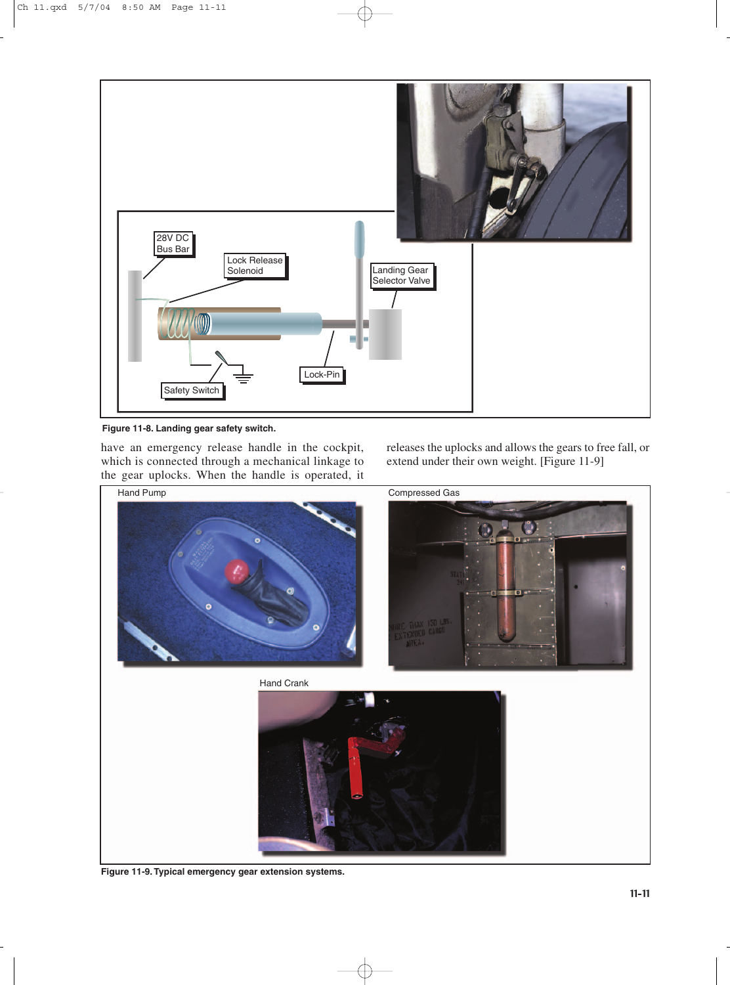

**Figure 11-8. Landing gear safety switch.**

have an emergency release handle in the cockpit, which is connected through a mechanical linkage to the gear uplocks. When the handle is operated, it releases the uplocks and allows the gears to free fall, or extend under their own weight. [Figure 11-9]



**Figure 11-9.Typical emergency gear extension systems.**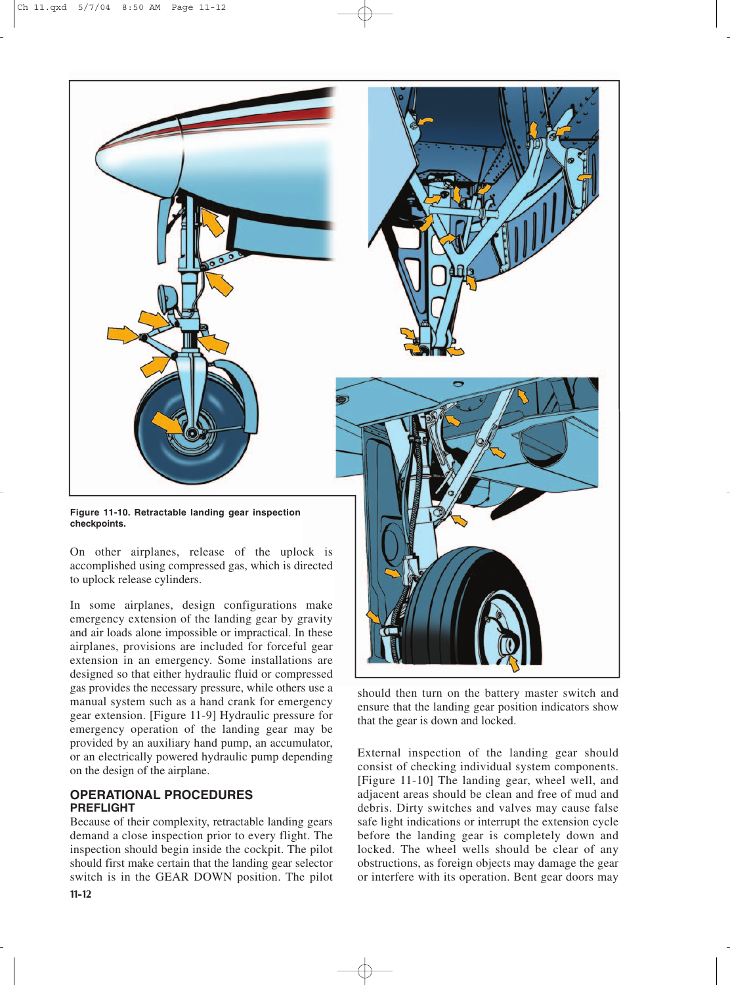

**checkpoints.**

On other airplanes, release of the uplock is accomplished using compressed gas, which is directed to uplock release cylinders.

In some airplanes, design configurations make emergency extension of the landing gear by gravity and air loads alone impossible or impractical. In these airplanes, provisions are included for forceful gear extension in an emergency. Some installations are designed so that either hydraulic fluid or compressed gas provides the necessary pressure, while others use a manual system such as a hand crank for emergency gear extension. [Figure 11-9] Hydraulic pressure for emergency operation of the landing gear may be provided by an auxiliary hand pump, an accumulator, or an electrically powered hydraulic pump depending on the design of the airplane.

#### **OPERATIONAL PROCEDURES PREFLIGHT**

Because of their complexity, retractable landing gears demand a close inspection prior to every flight. The inspection should begin inside the cockpit. The pilot should first make certain that the landing gear selector switch is in the GEAR DOWN position. The pilot should then turn on the battery master switch and ensure that the landing gear position indicators show that the gear is down and locked.

External inspection of the landing gear should consist of checking individual system components. [Figure 11-10] The landing gear, wheel well, and adjacent areas should be clean and free of mud and debris. Dirty switches and valves may cause false safe light indications or interrupt the extension cycle before the landing gear is completely down and locked. The wheel wells should be clear of any obstructions, as foreign objects may damage the gear or interfere with its operation. Bent gear doors may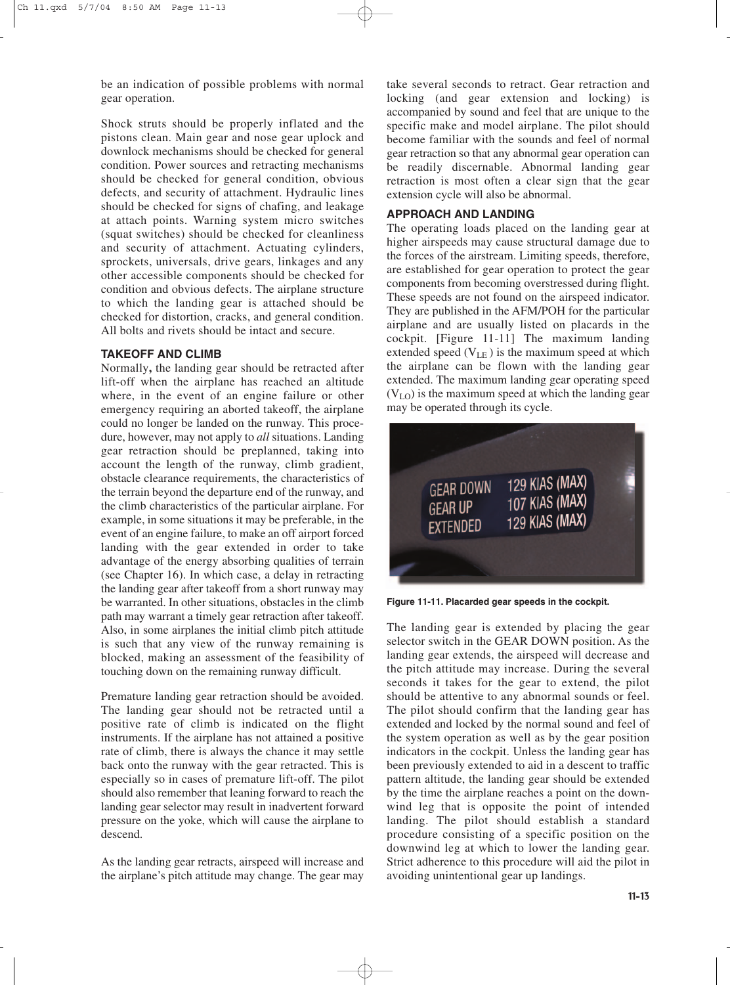be an indication of possible problems with normal gear operation.

Shock struts should be properly inflated and the pistons clean. Main gear and nose gear uplock and downlock mechanisms should be checked for general condition. Power sources and retracting mechanisms should be checked for general condition, obvious defects, and security of attachment. Hydraulic lines should be checked for signs of chafing, and leakage at attach points. Warning system micro switches (squat switches) should be checked for cleanliness and security of attachment. Actuating cylinders, sprockets, universals, drive gears, linkages and any other accessible components should be checked for condition and obvious defects. The airplane structure to which the landing gear is attached should be checked for distortion, cracks, and general condition. All bolts and rivets should be intact and secure.

#### **TAKEOFF AND CLIMB**

Normally**,** the landing gear should be retracted after lift-off when the airplane has reached an altitude where, in the event of an engine failure or other emergency requiring an aborted takeoff, the airplane could no longer be landed on the runway. This procedure, however, may not apply to *all* situations. Landing gear retraction should be preplanned, taking into account the length of the runway, climb gradient, obstacle clearance requirements, the characteristics of the terrain beyond the departure end of the runway, and the climb characteristics of the particular airplane. For example, in some situations it may be preferable, in the event of an engine failure, to make an off airport forced landing with the gear extended in order to take advantage of the energy absorbing qualities of terrain (see Chapter 16). In which case, a delay in retracting the landing gear after takeoff from a short runway may be warranted. In other situations, obstacles in the climb path may warrant a timely gear retraction after takeoff. Also, in some airplanes the initial climb pitch attitude is such that any view of the runway remaining is blocked, making an assessment of the feasibility of touching down on the remaining runway difficult.

Premature landing gear retraction should be avoided. The landing gear should not be retracted until a positive rate of climb is indicated on the flight instruments. If the airplane has not attained a positive rate of climb, there is always the chance it may settle back onto the runway with the gear retracted. This is especially so in cases of premature lift-off. The pilot should also remember that leaning forward to reach the landing gear selector may result in inadvertent forward pressure on the yoke, which will cause the airplane to descend.

As the landing gear retracts, airspeed will increase and the airplane's pitch attitude may change. The gear may take several seconds to retract. Gear retraction and locking (and gear extension and locking) is accompanied by sound and feel that are unique to the specific make and model airplane. The pilot should become familiar with the sounds and feel of normal gear retraction so that any abnormal gear operation can be readily discernable. Abnormal landing gear retraction is most often a clear sign that the gear extension cycle will also be abnormal.

#### **APPROACH AND LANDING**

The operating loads placed on the landing gear at higher airspeeds may cause structural damage due to the forces of the airstream. Limiting speeds, therefore, are established for gear operation to protect the gear components from becoming overstressed during flight. These speeds are not found on the airspeed indicator. They are published in the AFM/POH for the particular airplane and are usually listed on placards in the cockpit. [Figure 11-11] The maximum landing extended speed  $(V_{LE})$  is the maximum speed at which the airplane can be flown with the landing gear extended. The maximum landing gear operating speed  $(V<sub>LO</sub>)$  is the maximum speed at which the landing gear may be operated through its cycle.



**Figure 11-11. Placarded gear speeds in the cockpit.**

The landing gear is extended by placing the gear selector switch in the GEAR DOWN position. As the landing gear extends, the airspeed will decrease and the pitch attitude may increase. During the several seconds it takes for the gear to extend, the pilot should be attentive to any abnormal sounds or feel. The pilot should confirm that the landing gear has extended and locked by the normal sound and feel of the system operation as well as by the gear position indicators in the cockpit. Unless the landing gear has been previously extended to aid in a descent to traffic pattern altitude, the landing gear should be extended by the time the airplane reaches a point on the downwind leg that is opposite the point of intended landing. The pilot should establish a standard procedure consisting of a specific position on the downwind leg at which to lower the landing gear. Strict adherence to this procedure will aid the pilot in avoiding unintentional gear up landings.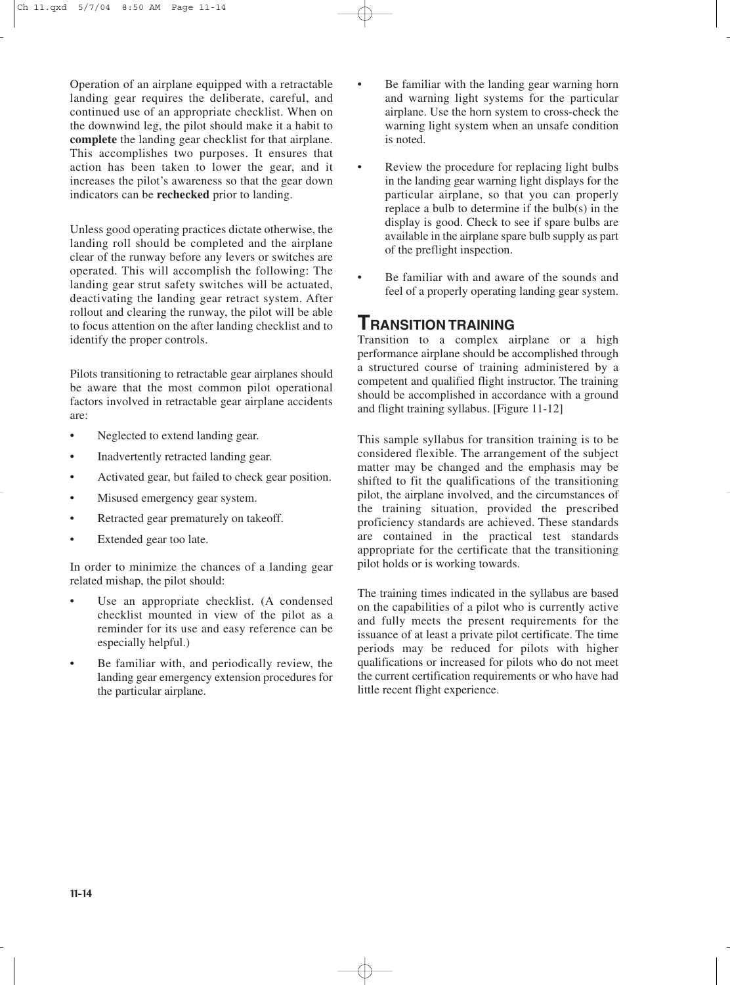Operation of an airplane equipped with a retractable landing gear requires the deliberate, careful, and continued use of an appropriate checklist. When on the downwind leg, the pilot should make it a habit to **complete** the landing gear checklist for that airplane. This accomplishes two purposes. It ensures that action has been taken to lower the gear, and it increases the pilot's awareness so that the gear down indicators can be **rechecked** prior to landing.

Unless good operating practices dictate otherwise, the landing roll should be completed and the airplane clear of the runway before any levers or switches are operated. This will accomplish the following: The landing gear strut safety switches will be actuated, deactivating the landing gear retract system. After rollout and clearing the runway, the pilot will be able to focus attention on the after landing checklist and to identify the proper controls.

Pilots transitioning to retractable gear airplanes should be aware that the most common pilot operational factors involved in retractable gear airplane accidents are:

- Neglected to extend landing gear.
- Inadvertently retracted landing gear.
- Activated gear, but failed to check gear position.
- Misused emergency gear system.
- Retracted gear prematurely on takeoff.
- Extended gear too late.

In order to minimize the chances of a landing gear related mishap, the pilot should:

- Use an appropriate checklist. (A condensed checklist mounted in view of the pilot as a reminder for its use and easy reference can be especially helpful.)
- Be familiar with, and periodically review, the landing gear emergency extension procedures for the particular airplane.
- Be familiar with the landing gear warning horn and warning light systems for the particular airplane. Use the horn system to cross-check the warning light system when an unsafe condition is noted.
- Review the procedure for replacing light bulbs in the landing gear warning light displays for the particular airplane, so that you can properly replace a bulb to determine if the bulb(s) in the display is good. Check to see if spare bulbs are available in the airplane spare bulb supply as part of the preflight inspection.
- Be familiar with and aware of the sounds and feel of a properly operating landing gear system.

# **TRANSITION TRAINING**

Transition to a complex airplane or a high performance airplane should be accomplished through a structured course of training administered by a competent and qualified flight instructor. The training should be accomplished in accordance with a ground and flight training syllabus. [Figure 11-12]

This sample syllabus for transition training is to be considered flexible. The arrangement of the subject matter may be changed and the emphasis may be shifted to fit the qualifications of the transitioning pilot, the airplane involved, and the circumstances of the training situation, provided the prescribed proficiency standards are achieved. These standards are contained in the practical test standards appropriate for the certificate that the transitioning pilot holds or is working towards.

The training times indicated in the syllabus are based on the capabilities of a pilot who is currently active and fully meets the present requirements for the issuance of at least a private pilot certificate. The time periods may be reduced for pilots with higher qualifications or increased for pilots who do not meet the current certification requirements or who have had little recent flight experience.